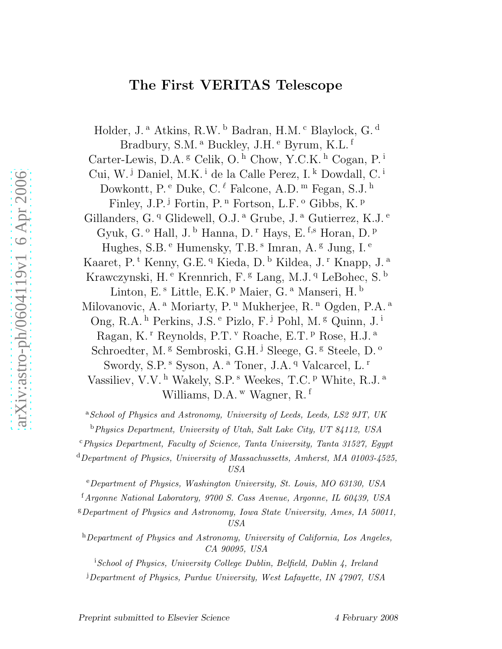# The First VERITAS Telescope

Holder, J.<sup>a</sup> Atkins, R.W.<sup>b</sup> Badran, H.M.<sup>c</sup> Blaylock, G.<sup>d</sup> Bradbury, S.M. <sup>a</sup> Buckley, J.H. <sup>e</sup> Byrum, K.L. <sup>f</sup> Carter-Lewis, D.A.<sup>g</sup> Celik, O.<sup>h</sup> Chow, Y.C.K.<sup>h</sup> Cogan, P.<sup>i</sup> Cui, W.<sup>j</sup> Daniel, M.K.<sup>i</sup> de la Calle Perez, I.<sup>k</sup> Dowdall, C.<sup>i</sup> Dowkontt, P.<sup>e</sup> Duke, C.<sup> $\ell$ </sup> Falcone, A.D.<sup>m</sup> Fegan, S.J.<sup>h</sup> Finley, J.P.<sup>j</sup> Fortin, P.<sup>n</sup> Fortson, L.F.<sup>o</sup> Gibbs, K.<sup>p</sup> Gillanders, G.<sup>q</sup> Glidewell, O.J.<sup>a</sup> Grube, J.<sup>a</sup> Gutierrez, K.J.<sup>e</sup> Gyuk, G. <sup>o</sup> Hall, J. <sup>b</sup> Hanna, D. <sup>r</sup> Hays, E. <sup>f,s</sup> Horan, D. <sup>p</sup> Hughes, S.B. <sup>e</sup> Humensky, T.B. <sup>s</sup> Imran, A. <sup>g</sup> Jung, I. <sup>e</sup> Kaaret, P.<sup>t</sup> Kenny, G.E. <sup>q</sup> Kieda, D. <sup>b</sup> Kildea, J. <sup>r</sup> Knapp, J. <sup>a</sup> Krawczynski, H.<sup>e</sup> Krennrich, F.<sup>g</sup> Lang, M.J.<sup>q</sup> LeBohec, S.<sup>b</sup> Linton, E.<sup>s</sup> Little, E.K. <sup>p</sup> Maier, G. <sup>a</sup> Manseri, H. <sup>b</sup> Milovanovic, A.<sup>a</sup> Moriarty, P.<sup>u</sup> Mukherjee, R.<sup>n</sup> Ogden, P.A.<sup>a</sup> Ong, R.A. <sup>h</sup> Perkins, J.S. <sup>e</sup> Pizlo, F. <sup>j</sup> Pohl, M. <sup>g</sup> Quinn, J. <sup>i</sup> Ragan, K.<sup>r</sup> Reynolds, P.T.<sup>v</sup> Roache, E.T.<sup>p</sup> Rose, H.J.<sup>a</sup> Schroedter, M.<sup>g</sup> Sembroski, G.H.<sup>j</sup> Sleege, G.<sup>g</sup> Steele, D.<sup>o</sup> Swordy, S.P.<sup>s</sup> Syson, A.<sup>a</sup> Toner, J.A.<sup>q</sup> Valcarcel, L.<sup>r</sup> Vassiliev, V.V.<sup>h</sup> Wakely, S.P.<sup>s</sup> Weekes, T.C.<sup>p</sup> White, R.J.<sup>a</sup> Williams, D.A.<sup>w</sup> Wagner, R.<sup>f</sup>

<sup>a</sup>*School of Physics and Astronomy, University of Leeds, Leeds, LS2 9JT, UK* <sup>b</sup>*Physics Department, University of Utah, Salt Lake City, UT 84112, USA*

<sup>c</sup>*Physics Department, Faculty of Science, Tanta University, Tanta 31527, Egypt*

<sup>d</sup>*Department of Physics, University of Massachussetts, Amherst, MA 01003-4525, USA*

<sup>e</sup>*Department of Physics, Washington University, St. Louis, MO 63130, USA*

<sup>f</sup>*Argonne National Laboratory, 9700 S. Cass Avenue, Argonne, IL 60439, USA*

<sup>g</sup>*Department of Physics and Astronomy, Iowa State University, Ames, IA 50011, USA*

<sup>h</sup>*Department of Physics and Astronomy, University of California, Los Angeles, CA 90095, USA*

<sup>i</sup>*School of Physics, University College Dublin, Belfield, Dublin 4, Ireland*

<sup>j</sup>*Department of Physics, Purdue University, West Lafayette, IN 47907, USA*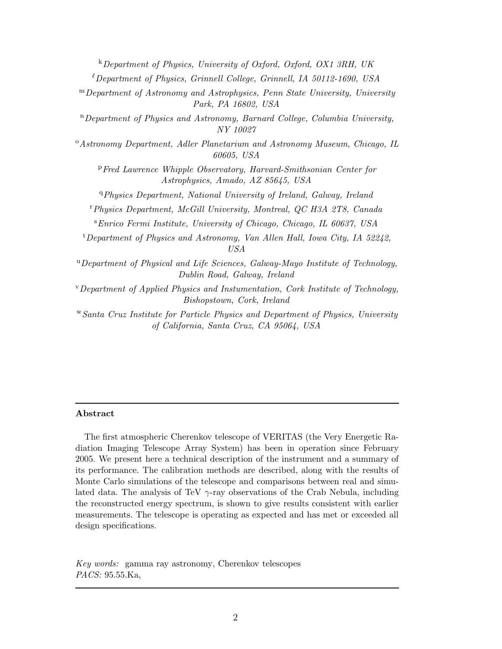<sup>k</sup>*Department of Physics, University of Oxford, Oxford, OX1 3RH, UK* <sup>ℓ</sup>*Department of Physics, Grinnell College, Grinnell, IA 50112-1690, USA* <sup>m</sup>*Department of Astronomy and Astrophysics, Penn State University, University Park, PA 16802, USA* <sup>n</sup>*Department of Physics and Astronomy, Barnard College, Columbia University, NY 10027* <sup>o</sup>*Astronomy Department, Adler Planetarium and Astronomy Museum, Chicago, IL 60605, USA* <sup>p</sup>*Fred Lawrence Whipple Observatory, Harvard-Smithsonian Center for Astrophysics, Amado, AZ 85645, USA* <sup>q</sup>*Physics Department, National University of Ireland, Galway, Ireland* <sup>r</sup>*Physics Department, McGill University, Montreal, QC H3A 2T8, Canada* <sup>s</sup>*Enrico Fermi Institute, University of Chicago, Chicago, IL 60637, USA* <sup>t</sup>*Department of Physics and Astronomy, Van Allen Hall, Iowa City, IA 52242, USA* <sup>u</sup>*Department of Physical and Life Sciences, Galway-Mayo Institute of Technology, Dublin Road, Galway, Ireland* <sup>v</sup>*Department of Applied Physics and Instumentation, Cork Institute of Technology, Bishopstown, Cork, Ireland* <sup>w</sup>*Santa Cruz Institute for Particle Physics and Department of Physics, University of California, Santa Cruz, CA 95064, USA*

#### Abstract

The first atmospheric Cherenkov telescope of VERITAS (the Very Energetic Radiation Imaging Telescope Array System) has been in operation since February 2005. We present here a technical description of the instrument and a summary of its performance. The calibration methods are described, along with the results of Monte Carlo simulations of the telescope and comparisons between real and simulated data. The analysis of TeV  $\gamma$ -ray observations of the Crab Nebula, including the reconstructed energy spectrum, is shown to give results consistent with earlier measurements. The telescope is operating as expected and has met or exceeded all design specifications.

*Key words:* gamma ray astronomy, Cherenkov telescopes *PACS:* 95.55.Ka,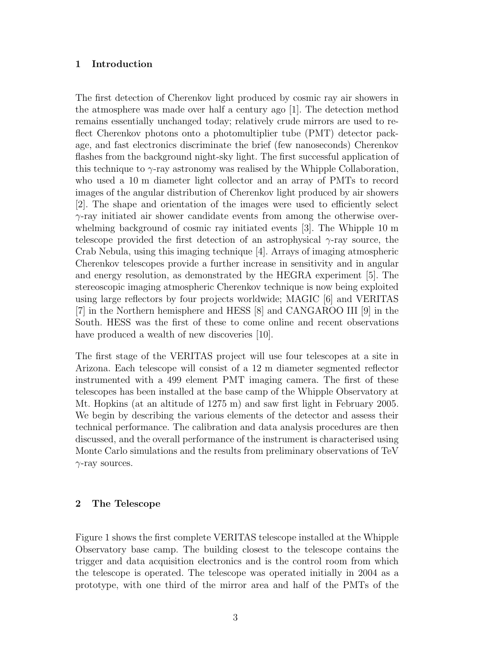# 1 Introduction

The first detection of Cherenkov light produced by cosmic ray air showers in the atmosphere was made over half a century ago [1]. The detection method remains essentially unchanged today; relatively crude mirrors are used to reflect Cherenkov photons onto a photomultiplier tube (PMT) detector package, and fast electronics discriminate the brief (few nanoseconds) Cherenkov flashes from the background night-sky light. The first successful application of this technique to  $\gamma$ -ray astronomy was realised by the Whipple Collaboration, who used a 10 m diameter light collector and an array of PMTs to record images of the angular distribution of Cherenkov light produced by air showers [2]. The shape and orientation of the images were used to efficiently select  $\gamma$ -ray initiated air shower candidate events from among the otherwise overwhelming background of cosmic ray initiated events [3]. The Whipple 10 m telescope provided the first detection of an astrophysical  $\gamma$ -ray source, the Crab Nebula, using this imaging technique [4]. Arrays of imaging atmospheric Cherenkov telescopes provide a further increase in sensitivity and in angular and energy resolution, as demonstrated by the HEGRA experiment [5]. The stereoscopic imaging atmospheric Cherenkov technique is now being exploited using large reflectors by four projects worldwide; MAGIC [6] and VERITAS [7] in the Northern hemisphere and HESS [8] and CANGAROO III [9] in the South. HESS was the first of these to come online and recent observations have produced a wealth of new discoveries [10].

The first stage of the VERITAS project will use four telescopes at a site in Arizona. Each telescope will consist of a 12 m diameter segmented reflector instrumented with a 499 element PMT imaging camera. The first of these telescopes has been installed at the base camp of the Whipple Observatory at Mt. Hopkins (at an altitude of 1275 m) and saw first light in February 2005. We begin by describing the various elements of the detector and assess their technical performance. The calibration and data analysis procedures are then discussed, and the overall performance of the instrument is characterised using Monte Carlo simulations and the results from preliminary observations of TeV  $\gamma$ -ray sources.

# 2 The Telescope

Figure 1 shows the first complete VERITAS telescope installed at the Whipple Observatory base camp. The building closest to the telescope contains the trigger and data acquisition electronics and is the control room from which the telescope is operated. The telescope was operated initially in 2004 as a prototype, with one third of the mirror area and half of the PMTs of the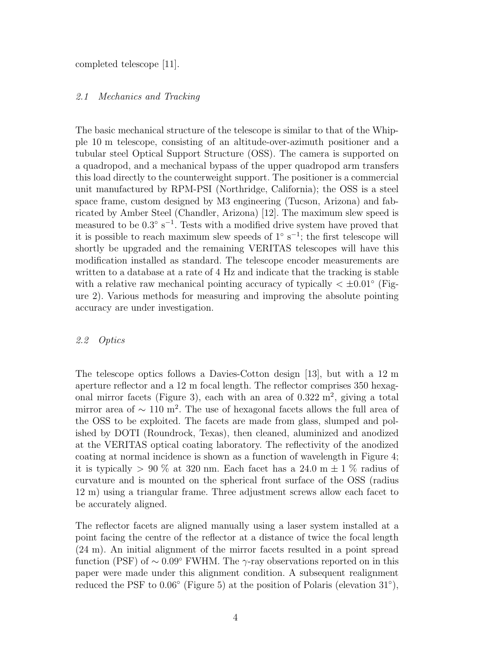completed telescope [11].

# 2.1 Mechanics and Tracking

The basic mechanical structure of the telescope is similar to that of the Whipple 10 m telescope, consisting of an altitude-over-azimuth positioner and a tubular steel Optical Support Structure (OSS). The camera is supported on a quadropod, and a mechanical bypass of the upper quadropod arm transfers this load directly to the counterweight support. The positioner is a commercial unit manufactured by RPM-PSI (Northridge, California); the OSS is a steel space frame, custom designed by M3 engineering (Tucson, Arizona) and fabricated by Amber Steel (Chandler, Arizona) [12]. The maximum slew speed is measured to be  $0.3^{\circ}$  s<sup>-1</sup>. Tests with a modified drive system have proved that it is possible to reach maximum slew speeds of  $1° s^{-1}$ ; the first telescope will shortly be upgraded and the remaining VERITAS telescopes will have this modification installed as standard. The telescope encoder measurements are written to a database at a rate of 4 Hz and indicate that the tracking is stable with a relative raw mechanical pointing accuracy of typically  $\langle \pm 0.01^{\circ} \rangle$  (Figure 2). Various methods for measuring and improving the absolute pointing accuracy are under investigation.

## 2.2 Optics

The telescope optics follows a Davies-Cotton design [13], but with a 12 m aperture reflector and a 12 m focal length. The reflector comprises 350 hexagonal mirror facets (Figure 3), each with an area of  $0.322 \text{ m}^2$ , giving a total mirror area of  $\sim 110 \text{ m}^2$ . The use of hexagonal facets allows the full area of the OSS to be exploited. The facets are made from glass, slumped and polished by DOTI (Roundrock, Texas), then cleaned, aluminized and anodized at the VERITAS optical coating laboratory. The reflectivity of the anodized coating at normal incidence is shown as a function of wavelength in Figure 4; it is typically  $> 90\%$  at 320 nm. Each facet has a 24.0 m  $\pm$  1 % radius of curvature and is mounted on the spherical front surface of the OSS (radius 12 m) using a triangular frame. Three adjustment screws allow each facet to be accurately aligned.

The reflector facets are aligned manually using a laser system installed at a point facing the centre of the reflector at a distance of twice the focal length (24 m). An initial alignment of the mirror facets resulted in a point spread function (PSF) of  $\sim 0.09$ ° FWHM. The γ-ray observations reported on in this paper were made under this alignment condition. A subsequent realignment reduced the PSF to  $0.06^{\circ}$  (Figure 5) at the position of Polaris (elevation 31 $^{\circ}$ ),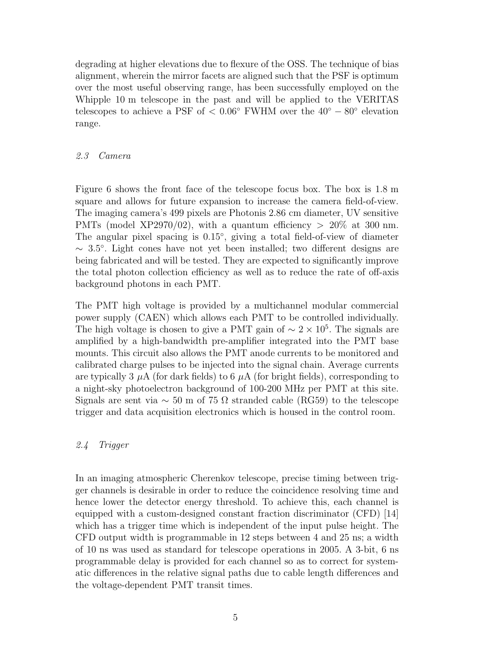degrading at higher elevations due to flexure of the OSS. The technique of bias alignment, wherein the mirror facets are aligned such that the PSF is optimum over the most useful observing range, has been successfully employed on the Whipple 10 m telescope in the past and will be applied to the VERITAS telescopes to achieve a PSF of <  $0.06°$  FWHM over the  $40° - 80°$  elevation range.

# 2.3 Camera

Figure 6 shows the front face of the telescope focus box. The box is 1.8 m square and allows for future expansion to increase the camera field-of-view. The imaging camera's 499 pixels are Photonis 2.86 cm diameter, UV sensitive PMTs (model XP2970/02), with a quantum efficiency  $> 20\%$  at 300 nm. The angular pixel spacing is 0.15°, giving a total field-of-view of diameter ∼ 3.5 ◦ . Light cones have not yet been installed; two different designs are being fabricated and will be tested. They are expected to significantly improve the total photon collection efficiency as well as to reduce the rate of off-axis background photons in each PMT.

The PMT high voltage is provided by a multichannel modular commercial power supply (CAEN) which allows each PMT to be controlled individually. The high voltage is chosen to give a PMT gain of  $\sim 2 \times 10^5$ . The signals are amplified by a high-bandwidth pre-amplifier integrated into the PMT base mounts. This circuit also allows the PMT anode currents to be monitored and calibrated charge pulses to be injected into the signal chain. Average currents are typically 3  $\mu$ A (for dark fields) to 6  $\mu$ A (for bright fields), corresponding to a night-sky photoelectron background of 100-200 MHz per PMT at this site. Signals are sent via  $\sim$  50 m of 75  $\Omega$  stranded cable (RG59) to the telescope trigger and data acquisition electronics which is housed in the control room.

# 2.4 Trigger

In an imaging atmospheric Cherenkov telescope, precise timing between trigger channels is desirable in order to reduce the coincidence resolving time and hence lower the detector energy threshold. To achieve this, each channel is equipped with a custom-designed constant fraction discriminator (CFD) [14] which has a trigger time which is independent of the input pulse height. The CFD output width is programmable in 12 steps between 4 and 25 ns; a width of 10 ns was used as standard for telescope operations in 2005. A 3-bit, 6 ns programmable delay is provided for each channel so as to correct for systematic differences in the relative signal paths due to cable length differences and the voltage-dependent PMT transit times.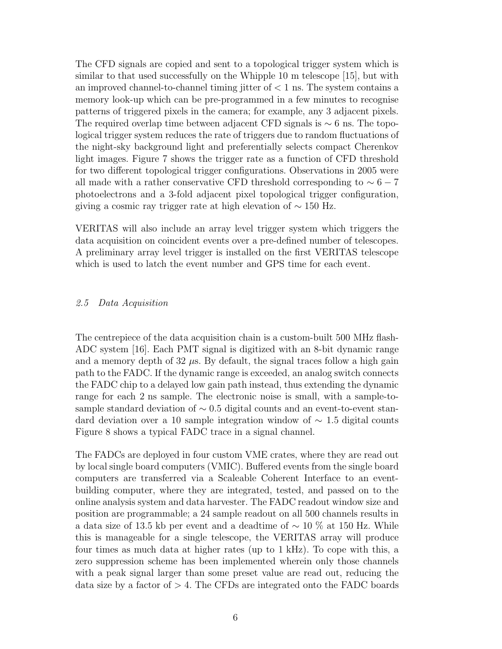The CFD signals are copied and sent to a topological trigger system which is similar to that used successfully on the Whipple 10 m telescope [15], but with an improved channel-to-channel timing jitter of  $< 1$  ns. The system contains a memory look-up which can be pre-programmed in a few minutes to recognise patterns of triggered pixels in the camera; for example, any 3 adjacent pixels. The required overlap time between adjacent CFD signals is  $\sim$  6 ns. The topological trigger system reduces the rate of triggers due to random fluctuations of the night-sky background light and preferentially selects compact Cherenkov light images. Figure 7 shows the trigger rate as a function of CFD threshold for two different topological trigger configurations. Observations in 2005 were all made with a rather conservative CFD threshold corresponding to  $\sim 6 - 7$ photoelectrons and a 3-fold adjacent pixel topological trigger configuration, giving a cosmic ray trigger rate at high elevation of  $\sim 150$  Hz.

VERITAS will also include an array level trigger system which triggers the data acquisition on coincident events over a pre-defined number of telescopes. A preliminary array level trigger is installed on the first VERITAS telescope which is used to latch the event number and GPS time for each event.

## 2.5 Data Acquisition

The centrepiece of the data acquisition chain is a custom-built 500 MHz flash-ADC system [16]. Each PMT signal is digitized with an 8-bit dynamic range and a memory depth of  $32 \mu s$ . By default, the signal traces follow a high gain path to the FADC. If the dynamic range is exceeded, an analog switch connects the FADC chip to a delayed low gain path instead, thus extending the dynamic range for each 2 ns sample. The electronic noise is small, with a sample-tosample standard deviation of  $\sim$  0.5 digital counts and an event-to-event standard deviation over a 10 sample integration window of ∼ 1.5 digital counts Figure 8 shows a typical FADC trace in a signal channel.

The FADCs are deployed in four custom VME crates, where they are read out by local single board computers (VMIC). Buffered events from the single board computers are transferred via a Scaleable Coherent Interface to an eventbuilding computer, where they are integrated, tested, and passed on to the online analysis system and data harvester. The FADC readout window size and position are programmable; a 24 sample readout on all 500 channels results in a data size of 13.5 kb per event and a deadtime of ∼ 10 % at 150 Hz. While this is manageable for a single telescope, the VERITAS array will produce four times as much data at higher rates (up to 1 kHz). To cope with this, a zero suppression scheme has been implemented wherein only those channels with a peak signal larger than some preset value are read out, reducing the data size by a factor of  $> 4$ . The CFDs are integrated onto the FADC boards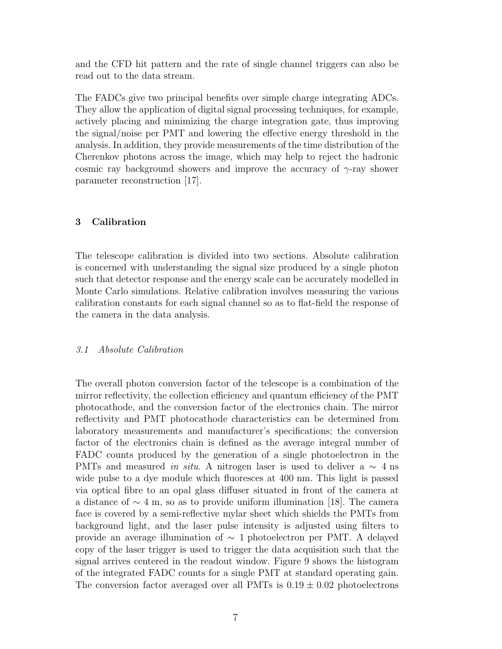and the CFD hit pattern and the rate of single channel triggers can also be read out to the data stream.

The FADCs give two principal benefits over simple charge integrating ADCs. They allow the application of digital signal processing techniques, for example, actively placing and minimizing the charge integration gate, thus improving the signal/noise per PMT and lowering the effective energy threshold in the analysis. In addition, they provide measurements of the time distribution of the Cherenkov photons across the image, which may help to reject the hadronic cosmic ray background showers and improve the accuracy of  $\gamma$ -ray shower parameter reconstruction [17].

# 3 Calibration

The telescope calibration is divided into two sections. Absolute calibration is concerned with understanding the signal size produced by a single photon such that detector response and the energy scale can be accurately modelled in Monte Carlo simulations. Relative calibration involves measuring the various calibration constants for each signal channel so as to flat-field the response of the camera in the data analysis.

## 3.1 Absolute Calibration

The overall photon conversion factor of the telescope is a combination of the mirror reflectivity, the collection efficiency and quantum efficiency of the PMT photocathode, and the conversion factor of the electronics chain. The mirror reflectivity and PMT photocathode characteristics can be determined from laboratory measurements and manufacturer's specifications; the conversion factor of the electronics chain is defined as the average integral number of FADC counts produced by the generation of a single photoelectron in the PMTs and measured in situ. A nitrogen laser is used to deliver a  $\sim$  4 ns wide pulse to a dye module which fluoresces at 400 nm. This light is passed via optical fibre to an opal glass diffuser situated in front of the camera at a distance of  $\sim 4$  m, so as to provide uniform illumination [18]. The camera face is covered by a semi-reflective mylar sheet which shields the PMTs from background light, and the laser pulse intensity is adjusted using filters to provide an average illumination of  $\sim$  1 photoelectron per PMT. A delayed copy of the laser trigger is used to trigger the data acquisition such that the signal arrives centered in the readout window. Figure 9 shows the histogram of the integrated FADC counts for a single PMT at standard operating gain. The conversion factor averaged over all PMTs is  $0.19 \pm 0.02$  photoelectrons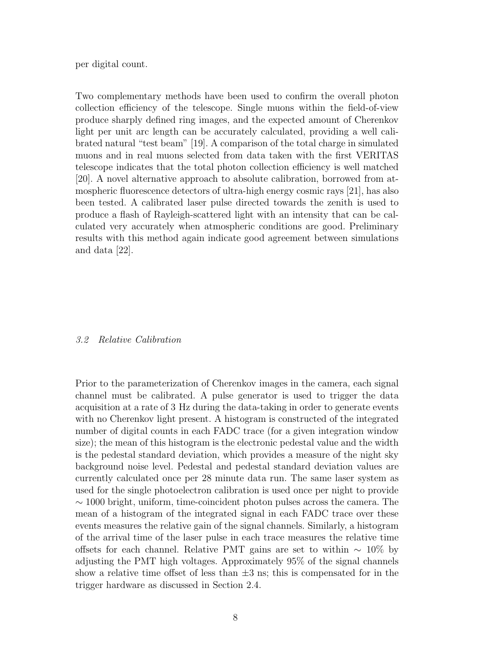per digital count.

Two complementary methods have been used to confirm the overall photon collection efficiency of the telescope. Single muons within the field-of-view produce sharply defined ring images, and the expected amount of Cherenkov light per unit arc length can be accurately calculated, providing a well calibrated natural "test beam" [19]. A comparison of the total charge in simulated muons and in real muons selected from data taken with the first VERITAS telescope indicates that the total photon collection efficiency is well matched [20]. A novel alternative approach to absolute calibration, borrowed from atmospheric fluorescence detectors of ultra-high energy cosmic rays [21], has also been tested. A calibrated laser pulse directed towards the zenith is used to produce a flash of Rayleigh-scattered light with an intensity that can be calculated very accurately when atmospheric conditions are good. Preliminary results with this method again indicate good agreement between simulations and data [22].

#### 3.2 Relative Calibration

Prior to the parameterization of Cherenkov images in the camera, each signal channel must be calibrated. A pulse generator is used to trigger the data acquisition at a rate of 3 Hz during the data-taking in order to generate events with no Cherenkov light present. A histogram is constructed of the integrated number of digital counts in each FADC trace (for a given integration window size); the mean of this histogram is the electronic pedestal value and the width is the pedestal standard deviation, which provides a measure of the night sky background noise level. Pedestal and pedestal standard deviation values are currently calculated once per 28 minute data run. The same laser system as used for the single photoelectron calibration is used once per night to provide  $\sim$  1000 bright, uniform, time-coincident photon pulses across the camera. The mean of a histogram of the integrated signal in each FADC trace over these events measures the relative gain of the signal channels. Similarly, a histogram of the arrival time of the laser pulse in each trace measures the relative time offsets for each channel. Relative PMT gains are set to within  $\sim 10\%$  by adjusting the PMT high voltages. Approximately 95% of the signal channels show a relative time offset of less than  $\pm 3$  ns; this is compensated for in the trigger hardware as discussed in Section 2.4.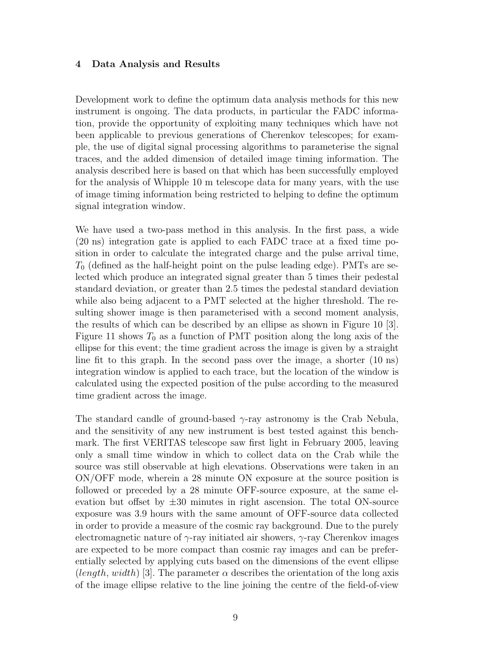## 4 Data Analysis and Results

Development work to define the optimum data analysis methods for this new instrument is ongoing. The data products, in particular the FADC information, provide the opportunity of exploiting many techniques which have not been applicable to previous generations of Cherenkov telescopes; for example, the use of digital signal processing algorithms to parameterise the signal traces, and the added dimension of detailed image timing information. The analysis described here is based on that which has been successfully employed for the analysis of Whipple 10 m telescope data for many years, with the use of image timing information being restricted to helping to define the optimum signal integration window.

We have used a two-pass method in this analysis. In the first pass, a wide (20 ns) integration gate is applied to each FADC trace at a fixed time position in order to calculate the integrated charge and the pulse arrival time,  $T_0$  (defined as the half-height point on the pulse leading edge). PMTs are selected which produce an integrated signal greater than 5 times their pedestal standard deviation, or greater than 2.5 times the pedestal standard deviation while also being adjacent to a PMT selected at the higher threshold. The resulting shower image is then parameterised with a second moment analysis, the results of which can be described by an ellipse as shown in Figure 10 [3]. Figure 11 shows  $T_0$  as a function of PMT position along the long axis of the ellipse for this event; the time gradient across the image is given by a straight line fit to this graph. In the second pass over the image, a shorter (10 ns) integration window is applied to each trace, but the location of the window is calculated using the expected position of the pulse according to the measured time gradient across the image.

The standard candle of ground-based  $\gamma$ -ray astronomy is the Crab Nebula, and the sensitivity of any new instrument is best tested against this benchmark. The first VERITAS telescope saw first light in February 2005, leaving only a small time window in which to collect data on the Crab while the source was still observable at high elevations. Observations were taken in an ON/OFF mode, wherein a 28 minute ON exposure at the source position is followed or preceded by a 28 minute OFF-source exposure, at the same elevation but offset by  $\pm 30$  minutes in right ascension. The total ON-source exposure was 3.9 hours with the same amount of OFF-source data collected in order to provide a measure of the cosmic ray background. Due to the purely electromagnetic nature of  $\gamma$ -ray initiated air showers,  $\gamma$ -ray Cherenkov images are expected to be more compact than cosmic ray images and can be preferentially selected by applying cuts based on the dimensions of the event ellipse  $(lenqth, width)$  [3]. The parameter  $\alpha$  describes the orientation of the long axis of the image ellipse relative to the line joining the centre of the field-of-view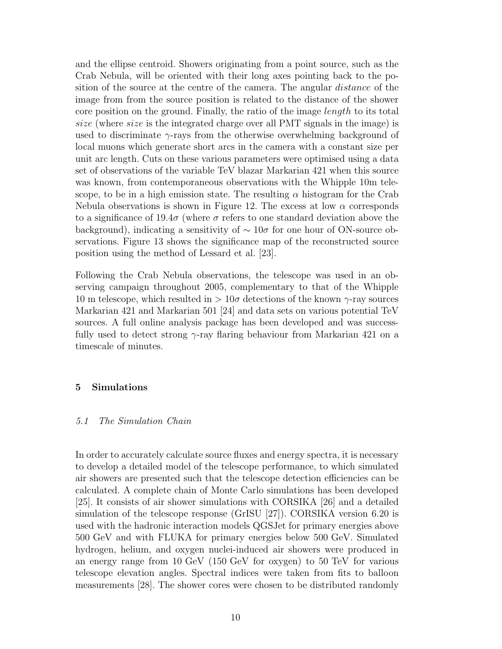and the ellipse centroid. Showers originating from a point source, such as the Crab Nebula, will be oriented with their long axes pointing back to the position of the source at the centre of the camera. The angular *distance* of the image from from the source position is related to the distance of the shower core position on the ground. Finally, the ratio of the image *length* to its total size (where size is the integrated charge over all PMT signals in the image) is used to discriminate  $\gamma$ -rays from the otherwise overwhelming background of local muons which generate short arcs in the camera with a constant size per unit arc length. Cuts on these various parameters were optimised using a data set of observations of the variable TeV blazar Markarian 421 when this source was known, from contemporaneous observations with the Whipple 10m telescope, to be in a high emission state. The resulting  $\alpha$  histogram for the Crab Nebula observations is shown in Figure 12. The excess at low  $\alpha$  corresponds to a significance of 19.4 $\sigma$  (where  $\sigma$  refers to one standard deviation above the background), indicating a sensitivity of  $\sim 10\sigma$  for one hour of ON-source observations. Figure 13 shows the significance map of the reconstructed source position using the method of Lessard et al. [23].

Following the Crab Nebula observations, the telescope was used in an observing campaign throughout 2005, complementary to that of the Whipple 10 m telescope, which resulted in  $> 10\sigma$  detections of the known  $\gamma$ -ray sources Markarian 421 and Markarian 501 [24] and data sets on various potential TeV sources. A full online analysis package has been developed and was successfully used to detect strong  $\gamma$ -ray flaring behaviour from Markarian 421 on a timescale of minutes.

## 5 Simulations

## 5.1 The Simulation Chain

In order to accurately calculate source fluxes and energy spectra, it is necessary to develop a detailed model of the telescope performance, to which simulated air showers are presented such that the telescope detection efficiencies can be calculated. A complete chain of Monte Carlo simulations has been developed [25]. It consists of air shower simulations with CORSIKA [26] and a detailed simulation of the telescope response (GrISU [27]). CORSIKA version 6.20 is used with the hadronic interaction models QGSJet for primary energies above 500 GeV and with FLUKA for primary energies below 500 GeV. Simulated hydrogen, helium, and oxygen nuclei-induced air showers were produced in an energy range from 10 GeV (150 GeV for oxygen) to 50 TeV for various telescope elevation angles. Spectral indices were taken from fits to balloon measurements [28]. The shower cores were chosen to be distributed randomly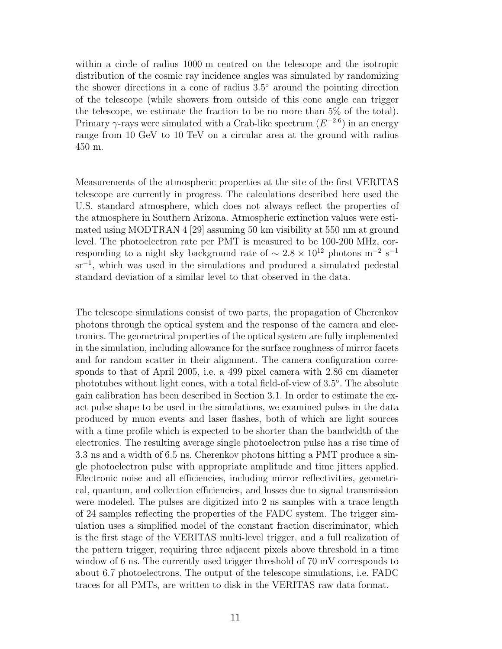within a circle of radius 1000 m centred on the telescope and the isotropic distribution of the cosmic ray incidence angles was simulated by randomizing the shower directions in a cone of radius 3.5◦ around the pointing direction of the telescope (while showers from outside of this cone angle can trigger the telescope, we estimate the fraction to be no more than 5% of the total). Primary  $\gamma$ -rays were simulated with a Crab-like spectrum  $(E^{-2.6})$  in an energy range from 10 GeV to 10 TeV on a circular area at the ground with radius 450 m.

Measurements of the atmospheric properties at the site of the first VERITAS telescope are currently in progress. The calculations described here used the U.S. standard atmosphere, which does not always reflect the properties of the atmosphere in Southern Arizona. Atmospheric extinction values were estimated using MODTRAN 4 [29] assuming 50 km visibility at 550 nm at ground level. The photoelectron rate per PMT is measured to be 100-200 MHz, corresponding to a night sky background rate of  $\sim 2.8 \times 10^{12}$  photons m<sup>-2</sup> s<sup>-1</sup> sr<sup>-1</sup>, which was used in the simulations and produced a simulated pedestal standard deviation of a similar level to that observed in the data.

The telescope simulations consist of two parts, the propagation of Cherenkov photons through the optical system and the response of the camera and electronics. The geometrical properties of the optical system are fully implemented in the simulation, including allowance for the surface roughness of mirror facets and for random scatter in their alignment. The camera configuration corresponds to that of April 2005, i.e. a 499 pixel camera with 2.86 cm diameter phototubes without light cones, with a total field-of-view of 3.5◦ . The absolute gain calibration has been described in Section 3.1. In order to estimate the exact pulse shape to be used in the simulations, we examined pulses in the data produced by muon events and laser flashes, both of which are light sources with a time profile which is expected to be shorter than the bandwidth of the electronics. The resulting average single photoelectron pulse has a rise time of 3.3 ns and a width of 6.5 ns. Cherenkov photons hitting a PMT produce a single photoelectron pulse with appropriate amplitude and time jitters applied. Electronic noise and all efficiencies, including mirror reflectivities, geometrical, quantum, and collection efficiencies, and losses due to signal transmission were modeled. The pulses are digitized into 2 ns samples with a trace length of 24 samples reflecting the properties of the FADC system. The trigger simulation uses a simplified model of the constant fraction discriminator, which is the first stage of the VERITAS multi-level trigger, and a full realization of the pattern trigger, requiring three adjacent pixels above threshold in a time window of 6 ns. The currently used trigger threshold of 70 mV corresponds to about 6.7 photoelectrons. The output of the telescope simulations, i.e. FADC traces for all PMTs, are written to disk in the VERITAS raw data format.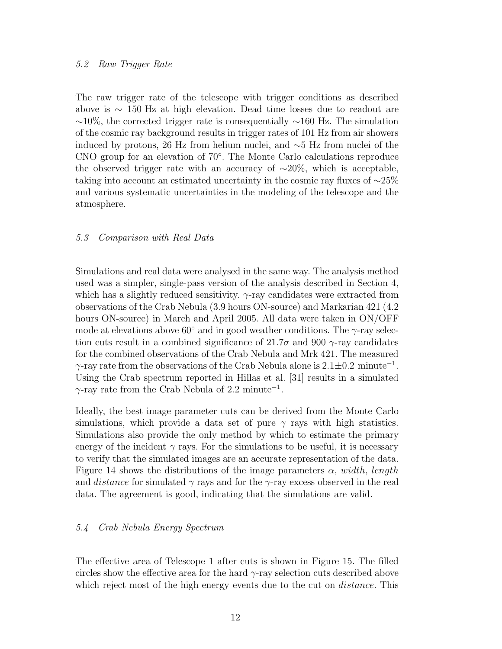# 5.2 Raw Trigger Rate

The raw trigger rate of the telescope with trigger conditions as described above is ∼ 150 Hz at high elevation. Dead time losses due to readout are  $~\sim$ 10%, the corrected trigger rate is consequentially  $~\sim$ 160 Hz. The simulation of the cosmic ray background results in trigger rates of 101 Hz from air showers induced by protons, 26 Hz from helium nuclei, and ∼5 Hz from nuclei of the CNO group for an elevation of 70◦ . The Monte Carlo calculations reproduce the observed trigger rate with an accuracy of  $~\sim 20\%$ , which is acceptable, taking into account an estimated uncertainty in the cosmic ray fluxes of ∼25% and various systematic uncertainties in the modeling of the telescope and the atmosphere.

# 5.3 Comparison with Real Data

Simulations and real data were analysed in the same way. The analysis method used was a simpler, single-pass version of the analysis described in Section 4, which has a slightly reduced sensitivity.  $\gamma$ -ray candidates were extracted from observations of the Crab Nebula (3.9 hours ON-source) and Markarian 421 (4.2 hours ON-source) in March and April 2005. All data were taken in ON/OFF mode at elevations above  $60^{\circ}$  and in good weather conditions. The  $\gamma$ -ray selection cuts result in a combined significance of 21.7 $\sigma$  and 900  $\gamma$ -ray candidates for the combined observations of the Crab Nebula and Mrk 421. The measured  $\gamma$ -ray rate from the observations of the Crab Nebula alone is  $2.1 \pm 0.2$  minute<sup>-1</sup>. Using the Crab spectrum reported in Hillas et al. [31] results in a simulated  $\gamma$ -ray rate from the Crab Nebula of 2.2 minute<sup>-1</sup>.

Ideally, the best image parameter cuts can be derived from the Monte Carlo simulations, which provide a data set of pure  $\gamma$  rays with high statistics. Simulations also provide the only method by which to estimate the primary energy of the incident  $\gamma$  rays. For the simulations to be useful, it is necessary to verify that the simulated images are an accurate representation of the data. Figure 14 shows the distributions of the image parameters  $\alpha$ , width, length and *distance* for simulated  $\gamma$  rays and for the  $\gamma$ -ray excess observed in the real data. The agreement is good, indicating that the simulations are valid.

# 5.4 Crab Nebula Energy Spectrum

The effective area of Telescope 1 after cuts is shown in Figure 15. The filled circles show the effective area for the hard  $\gamma$ -ray selection cuts described above which reject most of the high energy events due to the cut on *distance*. This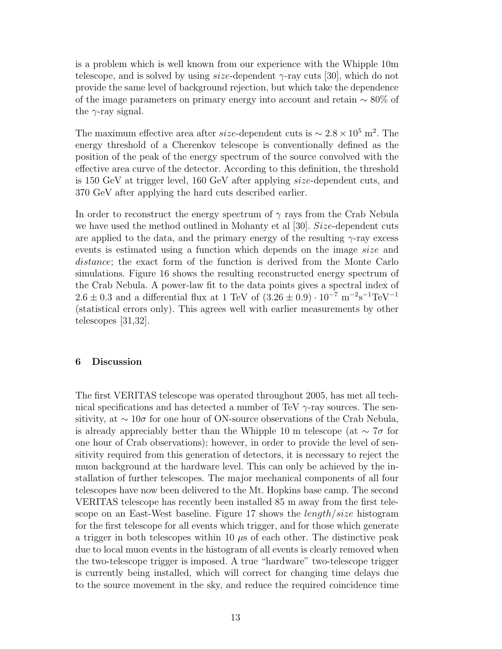is a problem which is well known from our experience with the Whipple 10m telescope, and is solved by using  $size$ -dependent  $\gamma$ -ray cuts [30], which do not provide the same level of background rejection, but which take the dependence of the image parameters on primary energy into account and retain ∼ 80% of the  $\gamma$ -ray signal.

The maximum effective area after *size*-dependent cuts is  $\sim 2.8 \times 10^5$  m<sup>2</sup>. The energy threshold of a Cherenkov telescope is conventionally defined as the position of the peak of the energy spectrum of the source convolved with the effective area curve of the detector. According to this definition, the threshold is 150 GeV at trigger level, 160 GeV after applying size-dependent cuts, and 370 GeV after applying the hard cuts described earlier.

In order to reconstruct the energy spectrum of  $\gamma$  rays from the Crab Nebula we have used the method outlined in Mohanty et al [30]. Size-dependent cuts are applied to the data, and the primary energy of the resulting  $\gamma$ -ray excess events is estimated using a function which depends on the image size and distance; the exact form of the function is derived from the Monte Carlo simulations. Figure 16 shows the resulting reconstructed energy spectrum of the Crab Nebula. A power-law fit to the data points gives a spectral index of  $2.6 \pm 0.3$  and a differential flux at 1 TeV of  $(3.26 \pm 0.9) \cdot 10^{-7}$  m<sup>-2</sup>s<sup>-1</sup>TeV<sup>-1</sup> (statistical errors only). This agrees well with earlier measurements by other telescopes [31,32].

## 6 Discussion

The first VERITAS telescope was operated throughout 2005, has met all technical specifications and has detected a number of TeV  $\gamma$ -ray sources. The sensitivity, at  $\sim 10\sigma$  for one hour of ON-source observations of the Crab Nebula, is already appreciably better than the Whipple 10 m telescope (at  $\sim 7\sigma$  for one hour of Crab observations); however, in order to provide the level of sensitivity required from this generation of detectors, it is necessary to reject the muon background at the hardware level. This can only be achieved by the installation of further telescopes. The major mechanical components of all four telescopes have now been delivered to the Mt. Hopkins base camp. The second VERITAS telescope has recently been installed 85 m away from the first telescope on an East-West baseline. Figure 17 shows the *length/size* histogram for the first telescope for all events which trigger, and for those which generate a trigger in both telescopes within 10  $\mu$ s of each other. The distinctive peak due to local muon events in the histogram of all events is clearly removed when the two-telescope trigger is imposed. A true "hardware" two-telescope trigger is currently being installed, which will correct for changing time delays due to the source movement in the sky, and reduce the required coincidence time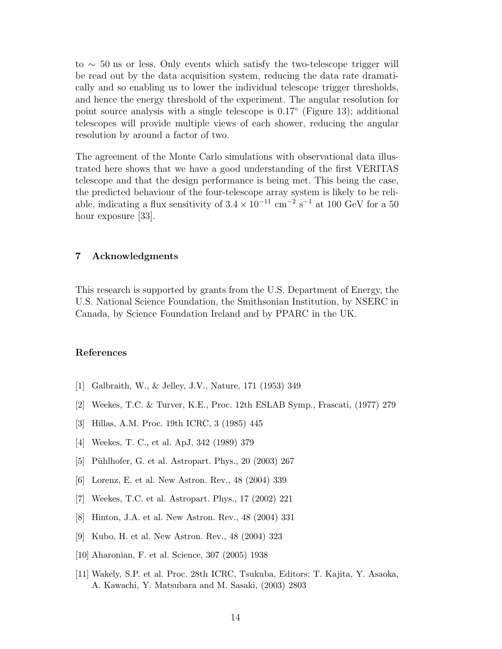to ∼ 50 ns or less. Only events which satisfy the two-telescope trigger will be read out by the data acquisition system, reducing the data rate dramatically and so enabling us to lower the individual telescope trigger thresholds, and hence the energy threshold of the experiment. The angular resolution for point source analysis with a single telescope is  $0.17^{\circ}$  (Figure 13); additional telescopes will provide multiple views of each shower, reducing the angular resolution by around a factor of two.

The agreement of the Monte Carlo simulations with observational data illustrated here shows that we have a good understanding of the first VERITAS telescope and that the design performance is being met. This being the case, the predicted behaviour of the four-telescope array system is likely to be reliable, indicating a flux sensitivity of  $3.4 \times 10^{-11}$  cm<sup>-2</sup> s<sup>-1</sup> at 100 GeV for a 50 hour exposure [33].

# 7 Acknowledgments

This research is supported by grants from the U.S. Department of Energy, the U.S. National Science Foundation, the Smithsonian Institution, by NSERC in Canada, by Science Foundation Ireland and by PPARC in the UK.

### References

- [1] Galbraith, W., & Jelley, J.V., Nature, 171 (1953) 349
- [2] Weekes, T.C. & Turver, K.E., Proc. 12th ESLAB Symp., Frascati, (1977) 279
- [3] Hillas, A.M. Proc. 19th ICRC, 3 (1985) 445
- [4] Weekes, T. C., et al. ApJ, 342 (1989) 379
- [5] Pühlhofer, G. et al. Astropart. Phys.,  $20$  (2003) 267
- [6] Lorenz, E. et al. New Astron. Rev., 48 (2004) 339
- [7] Weekes, T.C. et al. Astropart. Phys., 17 (2002) 221
- [8] Hinton, J.A. et al. New Astron. Rev., 48 (2004) 331
- [9] Kubo, H. et al. New Astron. Rev., 48 (2004) 323
- [10] Aharonian, F. et al. Science, 307 (2005) 1938
- [11] Wakely, S.P. et al. Proc. 28th ICRC, Tsukuba, Editors: T. Kajita, Y. Asaoka, A. Kawachi, Y. Matsubara and M. Sasaki, (2003) 2803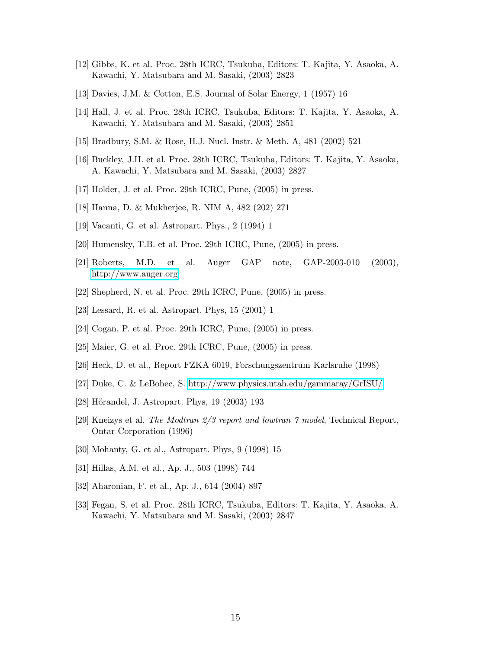- [12] Gibbs, K. et al. Proc. 28th ICRC, Tsukuba, Editors: T. Kajita, Y. Asaoka, A. Kawachi, Y. Matsubara and M. Sasaki, (2003) 2823
- [13] Davies, J.M. & Cotton, E.S. Journal of Solar Energy, 1 (1957) 16
- [14] Hall, J. et al. Proc. 28th ICRC, Tsukuba, Editors: T. Kajita, Y. Asaoka, A. Kawachi, Y. Matsubara and M. Sasaki, (2003) 2851
- [15] Bradbury, S.M. & Rose, H.J. Nucl. Instr. & Meth. A, 481 (2002) 521
- [16] Buckley, J.H. et al. Proc. 28th ICRC, Tsukuba, Editors: T. Kajita, Y. Asaoka, A. Kawachi, Y. Matsubara and M. Sasaki, (2003) 2827
- [17] Holder, J. et al. Proc. 29th ICRC, Pune, (2005) in press.
- [18] Hanna, D. & Mukherjee, R. NIM A, 482 (202) 271
- [19] Vacanti, G. et al. Astropart. Phys., 2 (1994) 1
- [20] Humensky, T.B. et al. Proc. 29th ICRC, Pune, (2005) in press.
- [21] Roberts, M.D. et al. Auger GAP note, GAP-2003-010 (2003), <http://www.auger.org>
- [22] Shepherd, N. et al. Proc. 29th ICRC, Pune, (2005) in press.
- [23] Lessard, R. et al. Astropart. Phys, 15 (2001) 1
- [24] Cogan, P. et al. Proc. 29th ICRC, Pune, (2005) in press.
- [25] Maier, G. et al. Proc. 29th ICRC, Pune, (2005) in press.
- [26] Heck, D. et al., Report FZKA 6019, Forschungszentrum Karlsruhe (1998)
- [27] Duke, C. & LeBohec, S.<http://www.physics.utah.edu/gammaray/GrISU/>
- [28] Hörandel, J. Astropart. Phys, 19 (2003) 193
- [29] Kneizys et al. *The Modtran 2/3 report and lowtran 7 model*, Technical Report, Ontar Corporation (1996)
- [30] Mohanty, G. et al., Astropart. Phys, 9 (1998) 15
- [31] Hillas, A.M. et al., Ap. J., 503 (1998) 744
- [32] Aharonian, F. et al., Ap. J., 614 (2004) 897
- [33] Fegan, S. et al. Proc. 28th ICRC, Tsukuba, Editors: T. Kajita, Y. Asaoka, A. Kawachi, Y. Matsubara and M. Sasaki, (2003) 2847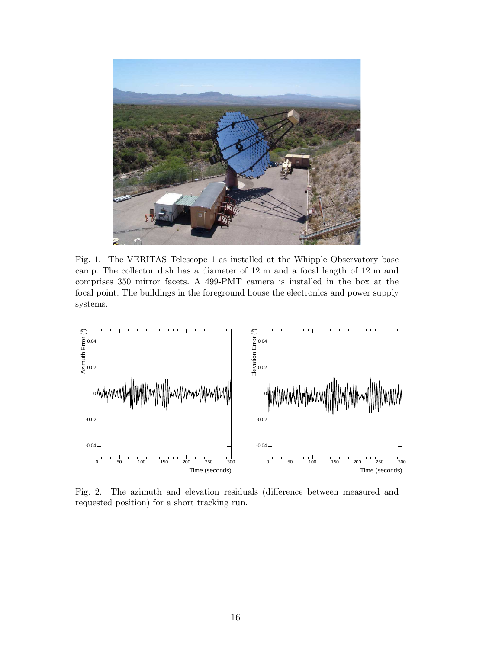

Fig. 1. The VERITAS Telescope 1 as installed at the Whipple Observatory base camp. The collector dish has a diameter of 12 m and a focal length of 12 m and comprises 350 mirror facets. A 499-PMT camera is installed in the box at the focal point. The buildings in the foreground house the electronics and power supply systems.



Fig. 2. The azimuth and elevation residuals (difference between measured and requested position) for a short tracking run.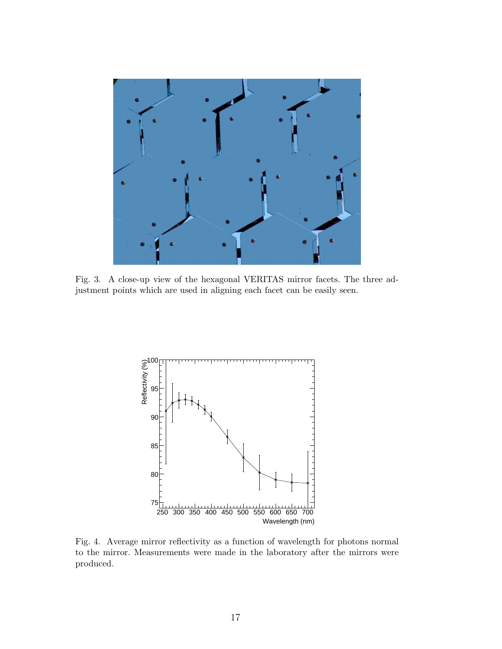

Fig. 3. A close-up view of the hexagonal VERITAS mirror facets. The three adjustment points which are used in aligning each facet can be easily seen.



Fig. 4. Average mirror reflectivity as a function of wavelength for photons normal to the mirror. Measurements were made in the laboratory after the mirrors were produced.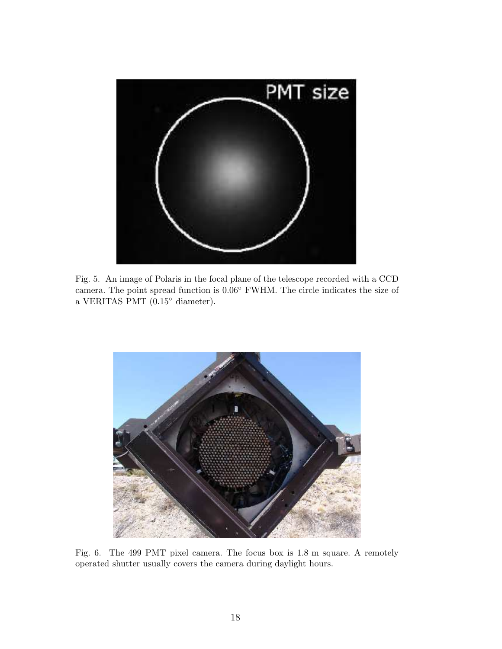

Fig. 5. An image of Polaris in the focal plane of the telescope recorded with a CCD camera. The point spread function is 0.06◦ FWHM. The circle indicates the size of a VERITAS PMT (0.15◦ diameter).



Fig. 6. The 499 PMT pixel camera. The focus box is 1.8 m square. A remotely operated shutter usually covers the camera during daylight hours.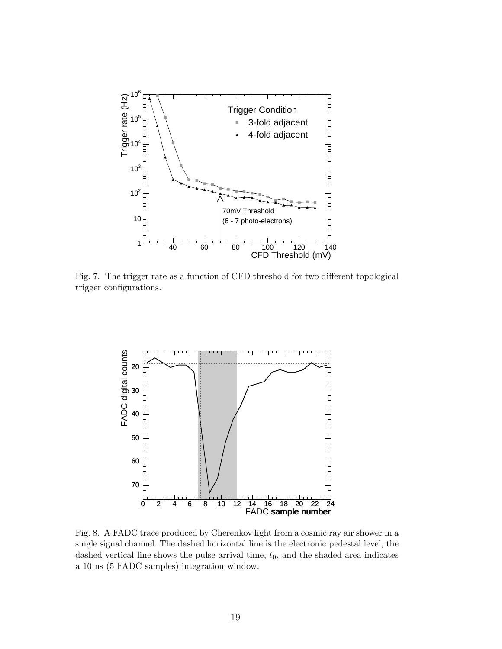

Fig. 7. The trigger rate as a function of CFD threshold for two different topological trigger configurations.



Fig. 8. A FADC trace produced by Cherenkov light from a cosmic ray air shower in a single signal channel. The dashed horizontal line is the electronic pedestal level, the dashed vertical line shows the pulse arrival time,  $t_0$ , and the shaded area indicates a 10 ns (5 FADC samples) integration window.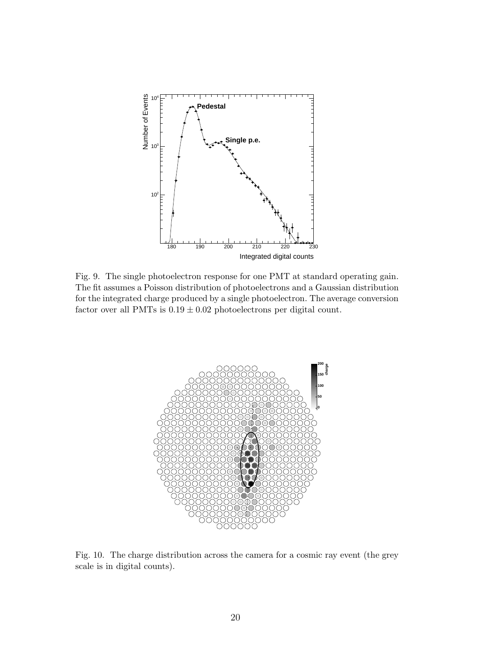

Fig. 9. The single photoelectron response for one PMT at standard operating gain. The fit assumes a Poisson distribution of photoelectrons and a Gaussian distribution for the integrated charge produced by a single photoelectron. The average conversion factor over all PMTs is  $0.19 \pm 0.02$  photoelectrons per digital count.



Fig. 10. The charge distribution across the camera for a cosmic ray event (the grey scale is in digital counts).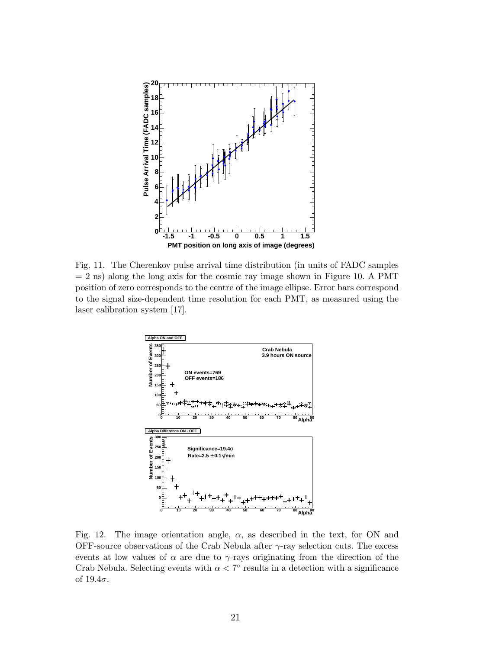

Fig. 11. The Cherenkov pulse arrival time distribution (in units of FADC samples  $= 2$  ns) along the long axis for the cosmic ray image shown in Figure 10. A PMT position of zero corresponds to the centre of the image ellipse. Error bars correspond to the signal size-dependent time resolution for each PMT, as measured using the laser calibration system [17].



Fig. 12. The image orientation angle,  $\alpha$ , as described in the text, for ON and OFF-source observations of the Crab Nebula after  $\gamma$ -ray selection cuts. The excess events at low values of  $\alpha$  are due to  $\gamma$ -rays originating from the direction of the Crab Nebula. Selecting events with  $\alpha < 7^{\circ}$  results in a detection with a significance of  $19.4\sigma$ .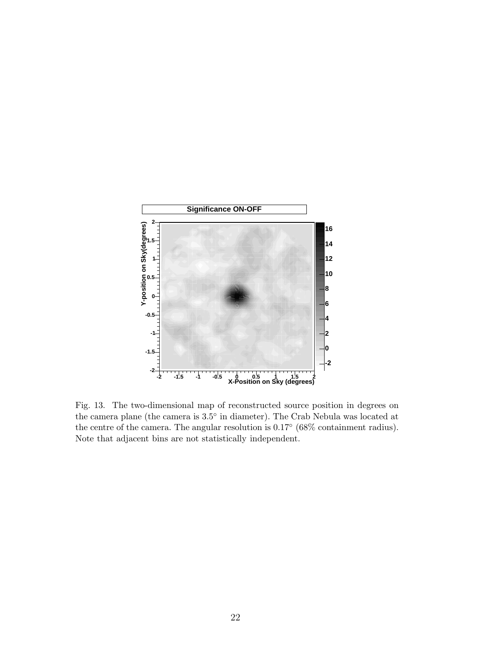

Fig. 13. The two-dimensional map of reconstructed source position in degrees on the camera plane (the camera is 3.5◦ in diameter). The Crab Nebula was located at the centre of the camera. The angular resolution is  $0.17^{\circ}$  (68% containment radius). Note that adjacent bins are not statistically independent.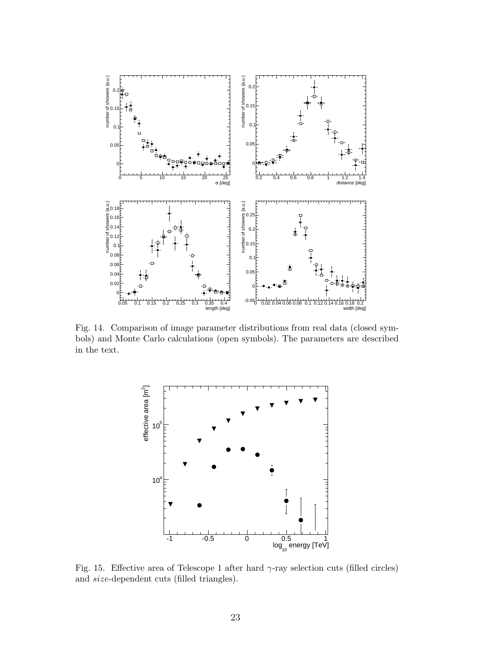

Fig. 14. Comparison of image parameter distributions from real data (closed symbols) and Monte Carlo calculations (open symbols). The parameters are described in the text.



Fig. 15. Effective area of Telescope 1 after hard  $\gamma$ -ray selection cuts (filled circles) and size-dependent cuts (filled triangles).